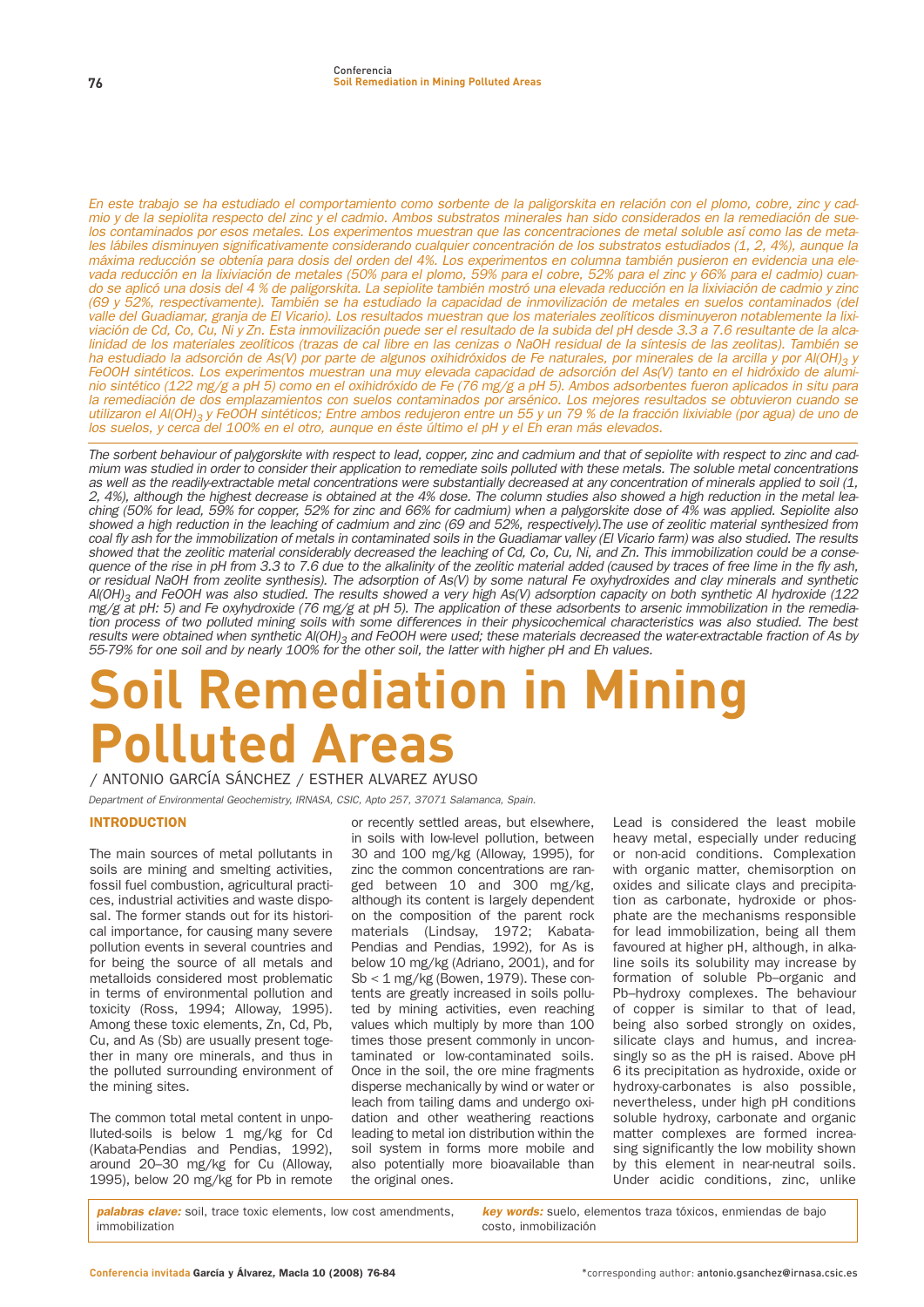En este trabajo se ha estudiado el comportamiento como sorbente de la paligorskita en relación con el plomo, cobre, zinc y cadmio y de la sepiolita respecto del zinc y el cadmio. Ambos substratos minerales han sido considerados en la remediación de suelos contaminados por esos metales. Los experimentos muestran que las concentraciones de metal soluble así como las de metales lábiles disminuyen significativamente considerando cualquier concentración de los substratos estudiados (1, 2, 4%), aunque la máxima reducción se obtenía para dosis del orden del 4%. Los experimentos en columna también pusieron en evidencia una elevada reducción en la lixiviación de metales (50% para el plomo, 59% para el cobre, 52% para el zinc y 66% para el cadmio) cuando se aplicó una dosis del 4 % de paligorskita. La sepiolite también mostró una elevada reducción en la lixiviación de cadmio y zinc (69 y 52%, respectivamente). También se ha estudiado la capacidad de inmovilización de metales en suelos contaminados (del valle del Guadiamar, granja de El Vicario). Los resultados muestran que los materiales zeolíticos disminuyeron notablemente la lixiviación de Cd, Co, Cu, Ni y Zn. Esta inmovilización puede ser el resultado de la subida del pH desde 3.3 a 7.6 resultante de la alcalinidad de los materiales zeolíticos (trazas de cal libre en las cenizas o NaOH residual de la síntesis de las zeolitas). También se ha estudiado la adsorción de As(V) por parte de algunos oxihidróxidos de Fe naturales, por minerales de la arcilla y por Al(OH)<sub>3</sub> y FeOOH sintéticos. Los experimentos muestran una muy elevada capacidad de adsorción del As(V) tanto en el hidróxido de aluminio sintético (122 mg/g a pH 5) como en el oxihidróxido de Fe (76 mg/g a pH 5). Ambos adsorbentes fueron aplicados in situ para la remediación de dos emplazamientos con suelos contaminados por arsénico. Los mejores resultados se obtuvieron cuando se utilizaron el Al(OH)<sub>3</sub> y FeOOH sintéticos; Entre ambos redujeron entre un 55 y un 79 % de la fracción lixiviable (por agua) de uno de los suelos, y cerca del 100% en el otro, aunque en éste último el pH y el Eh eran más elevados.

The sorbent behaviour of palygorskite with respect to lead, copper, zinc and cadmium and that of sepiolite with respect to zinc and cadmium was studied in order to consider their application to remediate soils polluted with these metals. The soluble metal concentrations as well as the readily-extractable metal concentrations were substantially decreased at any concentration of minerals applied to soil (1, 2, 4%), although the highest decrease is obtained at the 4% dose. The column studies also showed a high reduction in the metal leaching (50% for lead, 59% for copper, 52% for zinc and 66% for cadmium) when a palygorskite dose of 4% was applied. Sepiolite also showed a high reduction in the leaching of cadmium and zinc (69 and 52%, respectively).The use of zeolitic material synthesized from coal fly ash for the immobilization of metals in contaminated soils in the Guadiamar valley (El Vicario farm) was also studied. The results showed that the zeolitic material considerably decreased the leaching of Cd, Co, Cu, Ni, and Zn. This immobilization could be a consequence of the rise in pH from 3.3 to 7.6 due to the alkalinity of the zeolitic material added (caused by traces of free lime in the fly ash, or residual NaOH from zeolite synthesis). The adsorption of As(V) by some natural Fe oxyhydroxides and clay minerals and synthetic Al(OH)<sub>3</sub> and FeOOH was also studied. The results showed a very high As(V) adsorption capacity on both synthetic Al hydroxide (122 mg/g at pH: 5) and Fe oxyhydroxide (76 mg/g at pH 5). The application of these adsorbents to arsenic immobilization in the remediation process of two polluted mining soils with some differences in their physicochemical characteristics was also studied. The best results were obtained when synthetic AI(OH)<sub>3</sub> and FeOOH were used; these materials decreased the water-extractable fraction of As by<br>55-79% for one soil and by nearly 100% for the other soil, the latter with higher pH and

# **Soil Remediation in Mining Polluted Areas**

**/ ANTONIO GARCÍA SÁNCHEZ / ESTHER ALVAREZ AYUSO**

Department of Environmental Geochemistry, IRNASA, CSIC, Apto 257, 37071 Salamanca, Spain.

# INTRODUCTION

**The main sources of metal pollutants in soils are mining and smelting activities, fossil fuel combustion, agricultural practices, industrial activities and waste disposal. The former stands out for its historical importance, for causing many severe pollution events in several countries and for being the source of all metals and metalloids considered most problematic in terms of environmental pollution and toxicity (Ross, 1994; Alloway, 1995). Among these toxic elements, Zn, Cd, Pb, Cu, and As (Sb) are usually present together in many ore minerals, and thus in the polluted surrounding environment of the mining sites.** 

**The common total metal content in unpolluted-soils is below 1 mg/kg for Cd (Kabata-Pendias and Pendias, 1992), around 20–30 mg/kg for Cu (Alloway, 1995), below 20 mg/kg for Pb in remote** **or recently settled areas, but elsewhere, in soils with low-level pollution, between 30 and 100 mg/kg (Alloway, 1995), for zinc the common concentrations are ranged between 10 and 300 mg/kg, although its content is largely dependent on the composition of the parent rock materials (Lindsay, 1972; Kabata-Pendias and Pendias, 1992), for As is below 10 mg/kg (Adriano, 2001), and for Sb < 1 mg/kg (Bowen, 1979). These contents are greatly increased in soils polluted by mining activities, even reaching values which multiply by more than 100 times those present commonly in uncontaminated or low-contaminated soils. Once in the soil, the ore mine fragments disperse mechanically by wind or water or leach from tailing dams and undergo oxidation and other weathering reactions leading to metal ion distribution within the soil system in forms more mobile and also potentially more bioavailable than the original ones.**

**Lead is considered the least mobile heavy metal, especially under reducing or non-acid conditions. Complexation with organic matter, chemisorption on oxides and silicate clays and precipitation as carbonate, hydroxide or phosphate are the mechanisms responsible for lead immobilization, being all them favoured at higher pH, although, in alkaline soils its solubility may increase by formation of soluble Pb–organic and Pb–hydroxy complexes. The behaviour of copper is similar to that of lead, being also sorbed strongly on oxides, silicate clays and humus, and increasingly so as the pH is raised. Above pH 6 its precipitation as hydroxide, oxide or hydroxy-carbonates is also possible, nevertheless, under high pH conditions soluble hydroxy, carbonate and organic matter complexes are formed increasing significantly the low mobility shown by this element in near-neutral soils. Under acidic conditions, zinc, unlike**

**palabras clave: soil, trace toxic elements, low cost amendments, immobilization**

**key words: suelo, elementos traza tóxicos, enmiendas de bajo costo, inmobilización**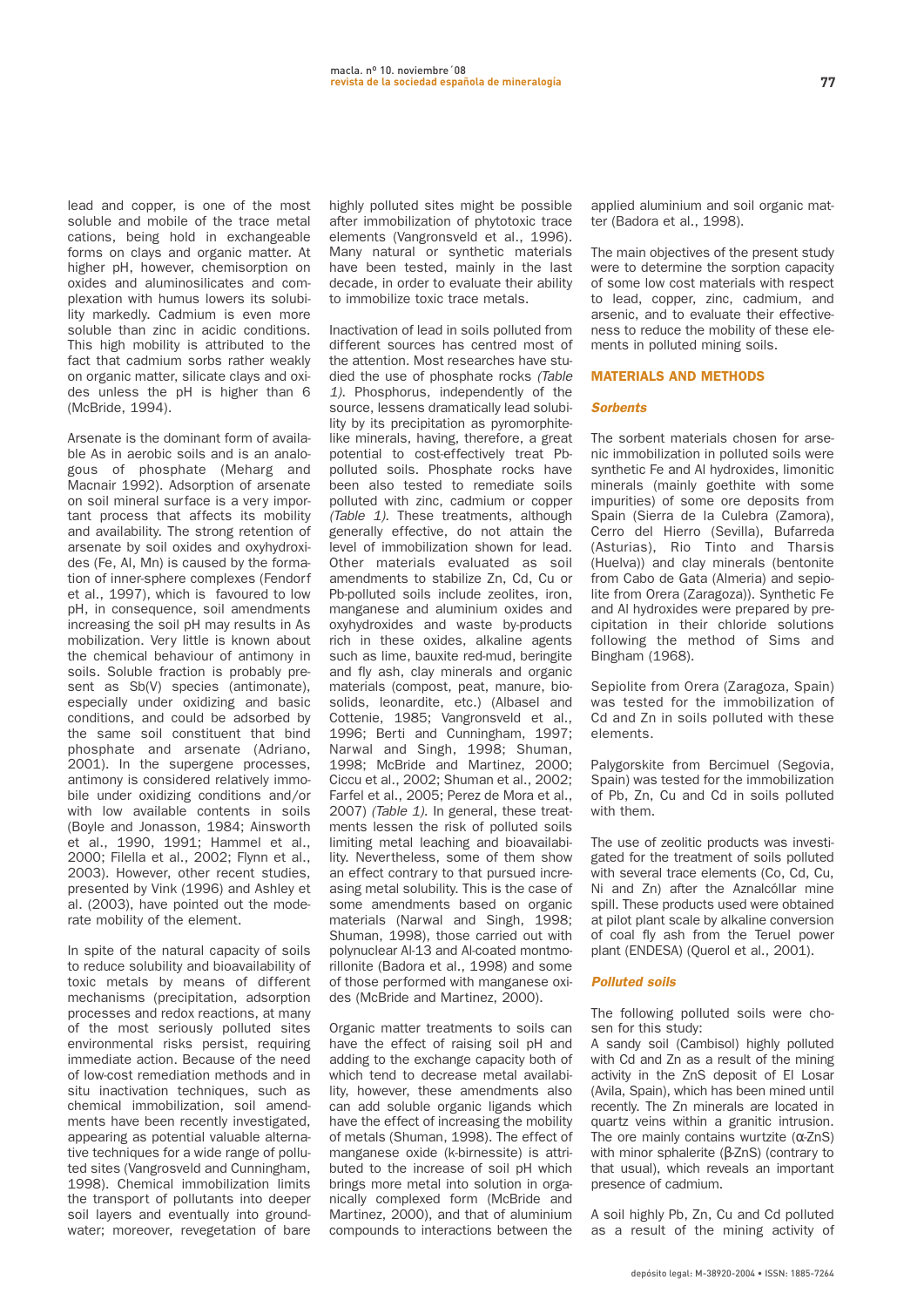**lead and copper, is one of the most soluble and mobile of the trace metal cations, being hold in exchangeable forms on clays and organic matter. At higher pH, however, chemisorption on oxides and aluminosilicates and complexation with humus lowers its solubility markedly. Cadmium is even more soluble than zinc in acidic conditions. This high mobility is attributed to the fact that cadmium sorbs rather weakly on organic matter, silicate clays and oxides unless the pH is higher than 6 (McBride, 1994).**

**Arsenate is the dominant form of available As in aerobic soils and is an analogous of phosphate (Meharg and Macnair 1992). Adsorption of arsenate on soil mineral surface is a very important process that affects its mobility and availability. The strong retention of arsenate by soil oxides and oxyhydroxides (Fe, Al, Mn) is caused by the formation of inner-sphere complexes (Fendorf et al., 1997), which is favoured to low pH, in consequence, soil amendments increasing the soil pH may results in As mobilization. Very little is known about the chemical behaviour of antimony in soils. Soluble fraction is probably present as Sb(V) species (antimonate), especially under oxidizing and basic conditions, and could be adsorbed by the same soil constituent that bind phosphate and arsenate (Adriano, 2001). In the supergene processes, antimony is considered relatively immobile under oxidizing conditions and/or with low available contents in soils (Boyle and Jonasson, 1984; Ainsworth et al., 1990, 1991; Hammel et al., 2000; Filella et al., 2002; Flynn et al., 2003). However, other recent studies, presented by Vink (1996) and Ashley et al. (2003), have pointed out the moderate mobility of the element.**

**In spite of the natural capacity of soils to reduce solubility and bioavailability of toxic metals by means of different mechanisms (precipitation, adsorption processes and redox reactions, at many of the most seriously polluted sites environmental risks persist, requiring immediate action. Because of the need of low-cost remediation methods and in situ inactivation techniques, such as chemical immobilization, soil amendments have been recently investigated, appearing as potential valuable alternative techniques for a wide range of polluted sites (Vangrosveld and Cunningham, 1998). Chemical immobilization limits the transport of pollutants into deeper soil layers and eventually into groundwater; moreover, revegetation of bare**

**highly polluted sites might be possible after immobilization of phytotoxic trace elements (Vangronsveld et al., 1996). Many natural or synthetic materials have been tested, mainly in the last decade, in order to evaluate their ability to immobilize toxic trace metals.**

**Inactivation of lead in soils polluted from different sources has centred most of the attention. Most researches have studied the use of phosphate rocks** (Table 1)**. Phosphorus, independently of the source, lessens dramatically lead solubility by its precipitation as pyromorphitelike minerals, having, therefore, a great potential to cost-effectively treat Pbpolluted soils. Phosphate rocks have been also tested to remediate soils polluted with zinc, cadmium or copper** (Table 1)**. These treatments, although generally effective, do not attain the level of immobilization shown for lead. Other materials evaluated as soil amendments to stabilize Zn, Cd, Cu or Pb-polluted soils include zeolites, iron, manganese and aluminium oxides and oxyhydroxides and waste by-products rich in these oxides, alkaline agents such as lime, bauxite red-mud, beringite and fly ash, clay minerals and organic materials (compost, peat, manure, biosolids, leonardite, etc.) (Albasel and Cottenie, 1985; Vangronsveld et al., 1996; Berti and Cunningham, 1997; Narwal and Singh, 1998; Shuman, 1998; McBride and Martinez, 2000; Ciccu et al., 2002; Shuman et al., 2002; Farfel et al., 2005; Perez de Mora et al., 2007)** (Table 1)**. In general, these treatments lessen the risk of polluted soils limiting metal leaching and bioavailability. Nevertheless, some of them show an effect contrary to that pursued increasing metal solubility. This is the case of some amendments based on organic materials (Narwal and Singh, 1998; Shuman, 1998), those carried out with polynuclear Al-13 and Al-coated montmorillonite (Badora et al., 1998) and some of those performed with manganese oxides (McBride and Martinez, 2000).**

**Organic matter treatments to soils can have the effect of raising soil pH and adding to the exchange capacity both of which tend to decrease metal availability, however, these amendments also can add soluble organic ligands which have the effect of increasing the mobility of metals (Shuman, 1998). The effect of manganese oxide (k-birnessite) is attributed to the increase of soil pH which brings more metal into solution in organically complexed form (McBride and Martinez, 2000), and that of aluminium compounds to interactions between the** **applied aluminium and soil organic matter (Badora et al., 1998).**

**The main objectives of the present study were to determine the sorption capacity of some low cost materials with respect to lead, copper, zinc, cadmium, and arsenic, and to evaluate their effectiveness to reduce the mobility of these elements in polluted mining soils.**

#### MATERIALS AND METHODS

#### **Sorbents**

**The sorbent materials chosen for arsenic immobilization in polluted soils were synthetic Fe and Al hydroxides, limonitic minerals (mainly goethite with some impurities) of some ore deposits from Spain (Sierra de la Culebra (Zamora), Cerro del Hierro (Sevilla), Bufarreda (Asturias), Rio Tinto and Tharsis (Huelva)) and clay minerals (bentonite from Cabo de Gata (Almeria) and sepiolite from Orera (Zaragoza)). Synthetic Fe and Al hydroxides were prepared by precipitation in their chloride solutions following the method of Sims and Bingham (1968).**

**Sepiolite from Orera (Zaragoza, Spain) was tested for the immobilization of Cd and Zn in soils polluted with these elements.**

**Palygorskite from Bercimuel (Segovia, Spain) was tested for the immobilization of Pb, Zn, Cu and Cd in soils polluted with them.**

**The use of zeolitic products was investigated for the treatment of soils polluted with several trace elements (Co, Cd, Cu, Ni and Zn) after the Aznalcóllar mine spill. These products used were obtained at pilot plant scale by alkaline conversion of coal fly ash from the Teruel power plant (ENDESA) (Querol et al., 2001).**

#### **Polluted soils**

**The following polluted soils were chosen for this study:** 

**A sandy soil (Cambisol) highly polluted with Cd and Zn as a result of the mining activity in the ZnS deposit of El Losar (Avila, Spain), which has been mined until recently. The Zn minerals are located in quartz veins within a granitic intrusion. The ore mainly contains wurtzite (**α**-ZnS) with minor sphalerite (**β**-ZnS) (contrary to that usual), which reveals an important presence of cadmium.**

**A soil highly Pb, Zn, Cu and Cd polluted as a result of the mining activity of**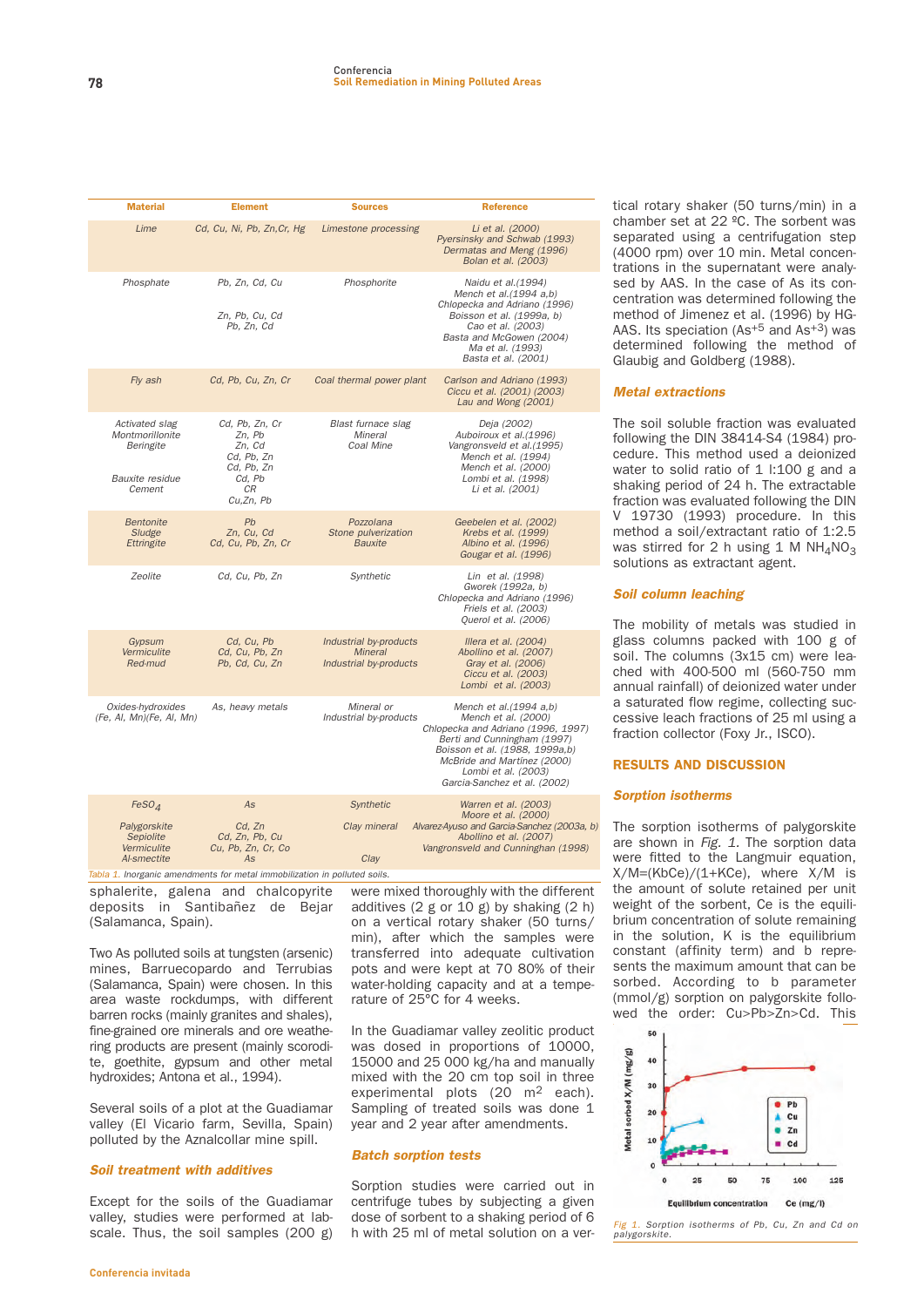|  | <b>Material</b>                                                              | <b>Element</b>                                                                                     | <b>Sources</b>                                                     | <b>Reference</b>                                                                                                                                                                                                                           |
|--|------------------------------------------------------------------------------|----------------------------------------------------------------------------------------------------|--------------------------------------------------------------------|--------------------------------------------------------------------------------------------------------------------------------------------------------------------------------------------------------------------------------------------|
|  | Lime                                                                         | Cd, Cu, Ni, Pb, Zn, Cr, Hg                                                                         | Limestone processing                                               | Li et al. (2000)<br>Pyersinsky and Schwab (1993)<br>Dermatas and Meng (1996)<br>Bolan et al. (2003)                                                                                                                                        |
|  | Phosphate                                                                    | Pb, Zn, Cd, Cu<br>Zn, Pb, Cu, Cd<br>Pb, Zn, Cd                                                     | Phosphorite                                                        | Naidu et al.(1994)<br>Mench et al.(1994 a,b)<br>Chlopecka and Adriano (1996)<br>Boisson et al. (1999a, b)<br>Cao et al. (2003)<br>Basta and McGowen (2004)<br>Ma et al. (1993)<br>Basta et al. (2001)                                      |
|  | Fly ash                                                                      | Cd, Pb, Cu, Zn, Cr                                                                                 | Coal thermal power plant                                           | Carlson and Adriano (1993)<br>Ciccu et al. (2001) (2003)<br>Lau and Wong (2001)                                                                                                                                                            |
|  | Activated slag<br>Montmorillonite<br>Beringite<br>Bauxite residue<br>Cement  | Cd, Pb, Zn, Cr<br>Zn, Pb<br>Zn, Cd<br>Cd, Pb, Zn<br>Cd, Pb, Zn<br>Cd, Pb<br><b>CR</b><br>Cu,Zn, Pb | Blast furnace slag<br>Mineral<br>Coal Mine                         | Deja (2002)<br>Auboiroux et al.(1996)<br>Vangronsveld et al.(1995)<br>Mench et al. (1994)<br>Mench et al. (2000)<br>Lombi et al. (1998)<br>Li et al. (2001)                                                                                |
|  | <b>Bentonite</b><br>Sludge<br><b>Ettringite</b>                              | Pb<br>Zn, Cu, Cd<br>Cd. Cu. Pb. Zn. Cr                                                             | Pozzolana<br>Stone pulverization<br><b>Bauxite</b>                 | Geebelen et al. (2002)<br>Krebs et al. (1999)<br>Albino et al. (1996)<br>Gougar et al. (1996)                                                                                                                                              |
|  | Zeolite                                                                      | Cd, Cu, Pb, Zn                                                                                     | Synthetic                                                          | Lin et al. (1998)<br>Gworek (1992a, b)<br>Chlopecka and Adriano (1996)<br>Friels et al. (2003)<br>Querol et al. (2006)                                                                                                                     |
|  | Gypsum<br>Vermiculite<br>Red-mud                                             | Cd, Cu, Pb<br>Cd. Cu. Pb. Zn<br>Pb, Cd, Cu, Zn                                                     | Industrial by-products<br><b>Mineral</b><br>Industrial by-products | Illera et al. (2004)<br>Abollino et al. (2007)<br>Gray et al. (2006)<br>Ciccu et al. (2003)<br>Lombi et al. (2003)                                                                                                                         |
|  | Oxides-hydroxides<br>(Fe, Al, Mn)(Fe, Al, Mn)                                | As, heavy metals                                                                                   | Mineral or<br>Industrial by-products                               | Mench et al.(1994 a,b)<br>Mench et al. (2000)<br>Chlopecka and Adriano (1996, 1997)<br>Berti and Cunningham (1997)<br>Boisson et al. (1988, 1999a,b)<br>McBride and Martínez (2000)<br>Lombi et al. (2003)<br>Garcia-Sanchez et al. (2002) |
|  | FeSO <sub>4</sub><br>Palygorskite<br>Sepiolite<br>Vermiculite<br>Al-smectite | As<br>Cd, Zn<br>Cd. Zn. Pb. Cu<br>Cu, Pb, Zn, Cr, Co<br>As                                         | Synthetic<br>Clay mineral<br>Clay                                  | Warren et al. (2003)<br>Moore et al. (2000)<br>Alvarez-Ayuso and Garcia-Sanchez (2003a, b)<br>Abollino et al. (2007)<br>Vangronsveld and Cunninghan (1998)                                                                                 |

**sphalerite, galena and chalcopyrite deposits in Santibañez de Bejar (Salamanca, Spain).** Tabla 1. Inorganic amendments for metal immobilization in polluted soils.

**Two As polluted soils at tungsten (arsenic) mines, Barruecopardo and Terrubias (Salamanca, Spain) were chosen. In this area waste rockdumps, with different barren rocks (mainly granites and shales), fine-grained ore minerals and ore weathering products are present (mainly scorodite, goethite, gypsum and other metal hydroxides; Antona et al., 1994).**

**Several soils of a plot at the Guadiamar valley (El Vicario farm, Sevilla, Spain) polluted by the Aznalcollar mine spill.**

# **Soil treatment with additives**

**Except for the soils of the Guadiamar valley, studies were performed at labscale. Thus, the soil samples (200 g)**

**were mixed thoroughly with the different additives (2 g or 10 g) by shaking (2 h) on a vertical rotary shaker (50 turns/ min), after which the samples were transferred into adequate cultivation pots and were kept at 70 80% of their water-holding capacity and at a temperature of 25°C for 4 weeks.**

**In the Guadiamar valley zeolitic product was dosed in proportions of 10000, 15000 and 25 000 kg/ha and manually mixed with the 20 cm top soil in three experimental plots (20 m2 each). Sampling of treated soils was done 1 year and 2 year after amendments.**

# **Batch sorption tests**

**Sorption studies were carried out in centrifuge tubes by subjecting a given dose of sorbent to a shaking period of 6 h with 25 ml of metal solution on a ver-** **tical rotary shaker (50 turns/min) in a chamber set at 22 ºC. The sorbent was separated using a centrifugation step (4000 rpm) over 10 min. Metal concentrations in the supernatant were analysed by AAS. In the case of As its concentration was determined following the method of Jimenez et al. (1996) by HG-AAS. Its speciation (As+5 and As+3) was determined following the method of Glaubig and Goldberg (1988).**

# **Metal extractions**

**The soil soluble fraction was evaluated following the DIN 38414-S4 (1984) procedure. This method used a deionized water to solid ratio of 1 l:100 g and a shaking period of 24 h. The extractable fraction was evaluated following the DIN V 19730 (1993) procedure. In this method a soil/extractant ratio of 1:2.5** was stirred for 2 h using 1 M  $NH_4NO_3$ **solutions as extractant agent.**

# **Soil column leaching**

**The mobility of metals was studied in glass columns packed with 100 g of soil. The columns (3x15 cm) were leached with 400-500 ml (560-750 mm annual rainfall) of deionized water under a saturated flow regime, collecting successive leach fractions of 25 ml using a fraction collector (Foxy Jr., ISCO).**

# RESULTS AND DISCUSSION

# **Sorption isotherms**

**The sorption isotherms of palygorskite are shown in** Fig. 1. **The sorption data were fitted to the Langmuir equation, X/M=(KbCe)/(1+KCe), where X/M is the amount of solute retained per unit weight of the sorbent, Ce is the equilibrium concentration of solute remaining in the solution, K is the equilibrium constant (affinity term) and b represents the maximum amount that can be sorbed. According to b parameter (mmol/g) sorption on palygorskite followed the order: Cu>Pb>Zn>Cd. This**



1. Sorption isotherms of Pb, Cu, Zn and Cd on palygorskite.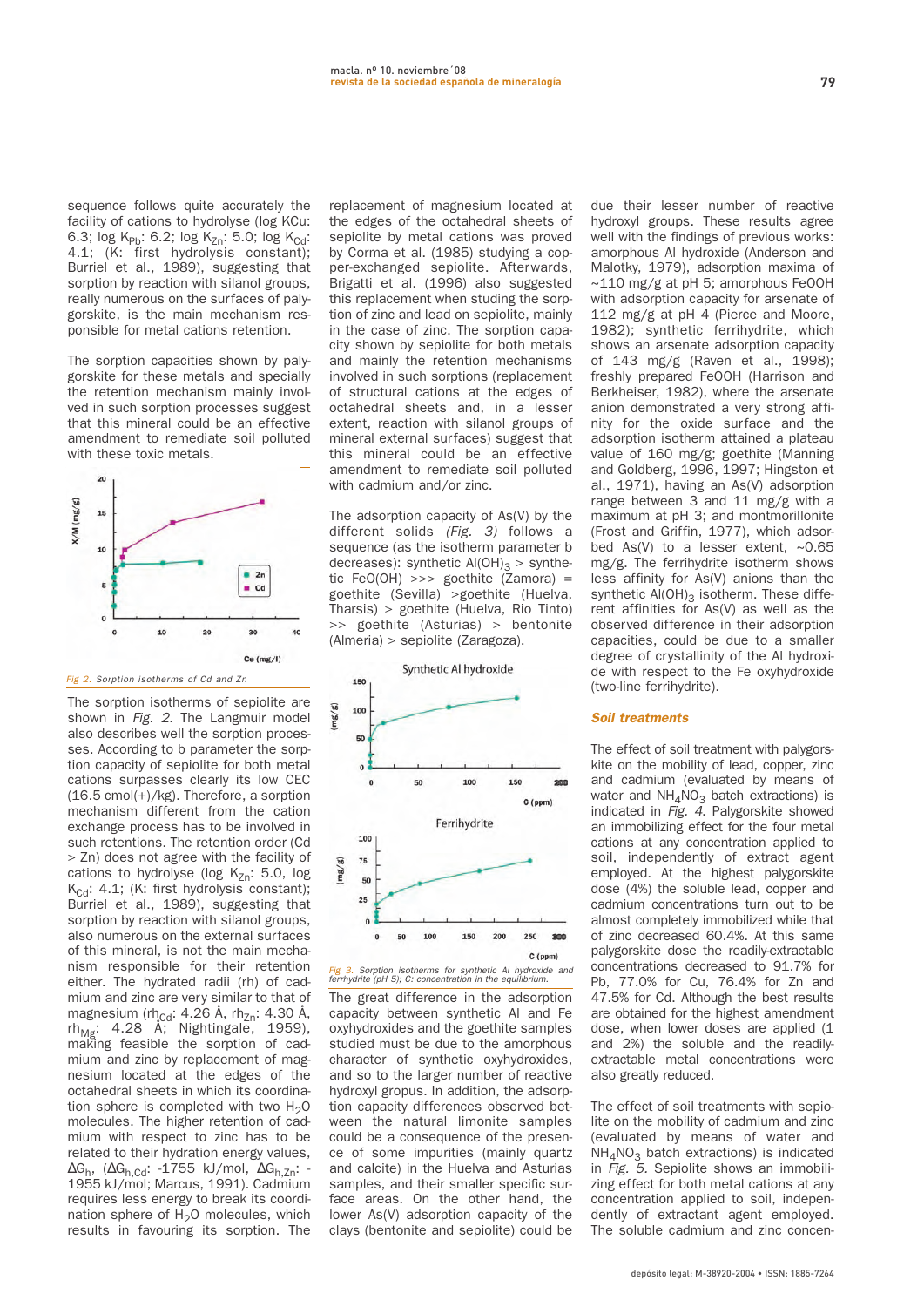**sequence follows quite accurately the facility of cations to hydrolyse (log KCu:** 6.3; log K<sub>Pb</sub>: 6.2; log K<sub>Zn</sub>: 5.0; log K<sub>Cd</sub>: **4.1; (K: first hydrolysis constant); Burriel et al., 1989), suggesting that sorption by reaction with silanol groups, really numerous on the surfaces of palygorskite, is the main mechanism responsible for metal cations retention.**

**The sorption capacities shown by palygorskite for these metals and specially the retention mechanism mainly involved in such sorption processes suggest that this mineral could be an effective amendment to remediate soil polluted with these toxic metals.**



**The sorption isotherms of sepiolite are shown in** Fig. 2. **The Langmuir model also describes well the sorption processes. According to b parameter the sorption capacity of sepiolite for both metal cations surpasses clearly its low CEC (16.5 cmol(+)/kg). Therefore, a sorption mechanism different from the cation exchange process has to be involved in such retentions. The retention order (Cd > Zn) does not agree with the facility of** cations to hydrolyse (log K<sub>Zn</sub>: 5.0, log K<sub>Cd</sub>: 4.1; (K: first hydrolysis constant); **Burriel et al., 1989), suggesting that sorption by reaction with silanol groups, also numerous on the external surfaces of this mineral, is not the main mechanism responsible for their retention either. The hydrated radii (rh) of cadmium and zinc are very similar to that of** magnesium (rh<sub>Cd</sub>: 4.26 Å, rh<sub>Zn</sub>: 4.30 Å, rh<sub>Mg</sub>: 4.28 Å; Nightingale, 1959), **making feasible the sorption of cadmium and zinc by replacement of magnesium located at the edges of the octahedral sheets in which its coordina**tion sphere is completed with two H<sub>2</sub>O **molecules. The higher retention of cadmium with respect to zinc has to be related to their hydration energy values,** ∆**Gh, (**∆**Gh,Cd: -1755 kJ/mol,** ∆**Gh,Zn: - 1955 kJ/mol; Marcus, 1991). Cadmium requires less energy to break its coordination sphere of H2O molecules, which results in favouring its sorption. The**

**replacement of magnesium located at the edges of the octahedral sheets of sepiolite by metal cations was proved by Corma et al. (1985) studying a copper-exchanged sepiolite. Afterwards, Brigatti et al. (1996) also suggested this replacement when studing the sorption of zinc and lead on sepiolite, mainly in the case of zinc. The sorption capacity shown by sepiolite for both metals and mainly the retention mechanisms involved in such sorptions (replacement of structural cations at the edges of octahedral sheets and, in a lesser extent, reaction with silanol groups of mineral external surfaces) suggest that this mineral could be an effective amendment to remediate soil polluted with cadmium and/or zinc.**

**The adsorption capacity of As(V) by the different solids** (Fig. 3) **follows a sequence (as the isotherm parameter b** decreases): synthetic Al(OH)<sub>3</sub> > synthe**tic FeO(OH) >>> goethite (Zamora) = goethite (Sevilla) >goethite (Huelva, Tharsis) > goethite (Huelva, Rio Tinto) >> goethite (Asturias) > bentonite (Almeria) > sepiolite (Zaragoza).**



**The great difference in the adsorption capacity between synthetic Al and Fe oxyhydroxides and the goethite samples studied must be due to the amorphous character of synthetic oxyhydroxides, and so to the larger number of reactive hydroxyl gropus. In addition, the adsorption capacity differences observed between the natural limonite samples could be a consequence of the presence of some impurities (mainly quartz and calcite) in the Huelva and Asturias samples, and their smaller specific surface areas. On the other hand, the lower As(V) adsorption capacity of the clays (bentonite and sepiolite) could be**

**due their lesser number of reactive hydroxyl groups. These results agree well with the findings of previous works: amorphous Al hydroxide (Anderson and Malotky, 1979), adsorption maxima of ~110 mg/g at pH 5; amorphous FeOOH with adsorption capacity for arsenate of 112 mg/g at pH 4 (Pierce and Moore, 1982); synthetic ferrihydrite, which shows an arsenate adsorption capacity of 143 mg/g (Raven et al., 1998); freshly prepared FeOOH (Harrison and Berkheiser, 1982), where the arsenate anion demonstrated a very strong affinity for the oxide surface and the adsorption isotherm attained a plateau value of 160 mg/g; goethite (Manning and Goldberg, 1996, 1997; Hingston et al., 1971), having an As(V) adsorption range between 3 and 11 mg/g with a maximum at pH 3; and montmorillonite (Frost and Griffin, 1977), which adsorbed As(V) to a lesser extent, ~0.65 mg/g. The ferrihydrite isotherm shows less affinity for As(V) anions than the** synthetic Al(OH)<sub>3</sub> isotherm. These diffe**rent affinities for As(V) as well as the observed difference in their adsorption capacities, could be due to a smaller degree of crystallinity of the Al hydroxide with respect to the Fe oxyhydroxide (two-line ferrihydrite).**

#### **Soil treatments**

**The effect of soil treatment with palygorskite on the mobility of lead, copper, zinc and cadmium (evaluated by means of** water and NH<sub>4</sub>NO<sub>3</sub> batch extractions) is **indicated in** Fig. 4**. Palygorskite showed an immobilizing effect for the four metal cations at any concentration applied to soil, independently of extract agent employed. At the highest palygorskite dose (4%) the soluble lead, copper and cadmium concentrations turn out to be almost completely immobilized while that of zinc decreased 60.4%. At this same palygorskite dose the readily-extractable concentrations decreased to 91.7% for Pb, 77.0% for Cu, 76.4% for Zn and 47.5% for Cd. Although the best results are obtained for the highest amendment dose, when lower doses are applied (1 and 2%) the soluble and the readilyextractable metal concentrations were also greatly reduced.**

**The effect of soil treatments with sepiolite on the mobility of cadmium and zinc (evaluated by means of water and NH4NO3 batch extractions) is indicated in** Fig. 5. **Sepiolite shows an immobilizing effect for both metal cations at any concentration applied to soil, independently of extractant agent employed. The soluble cadmium and zinc concen-**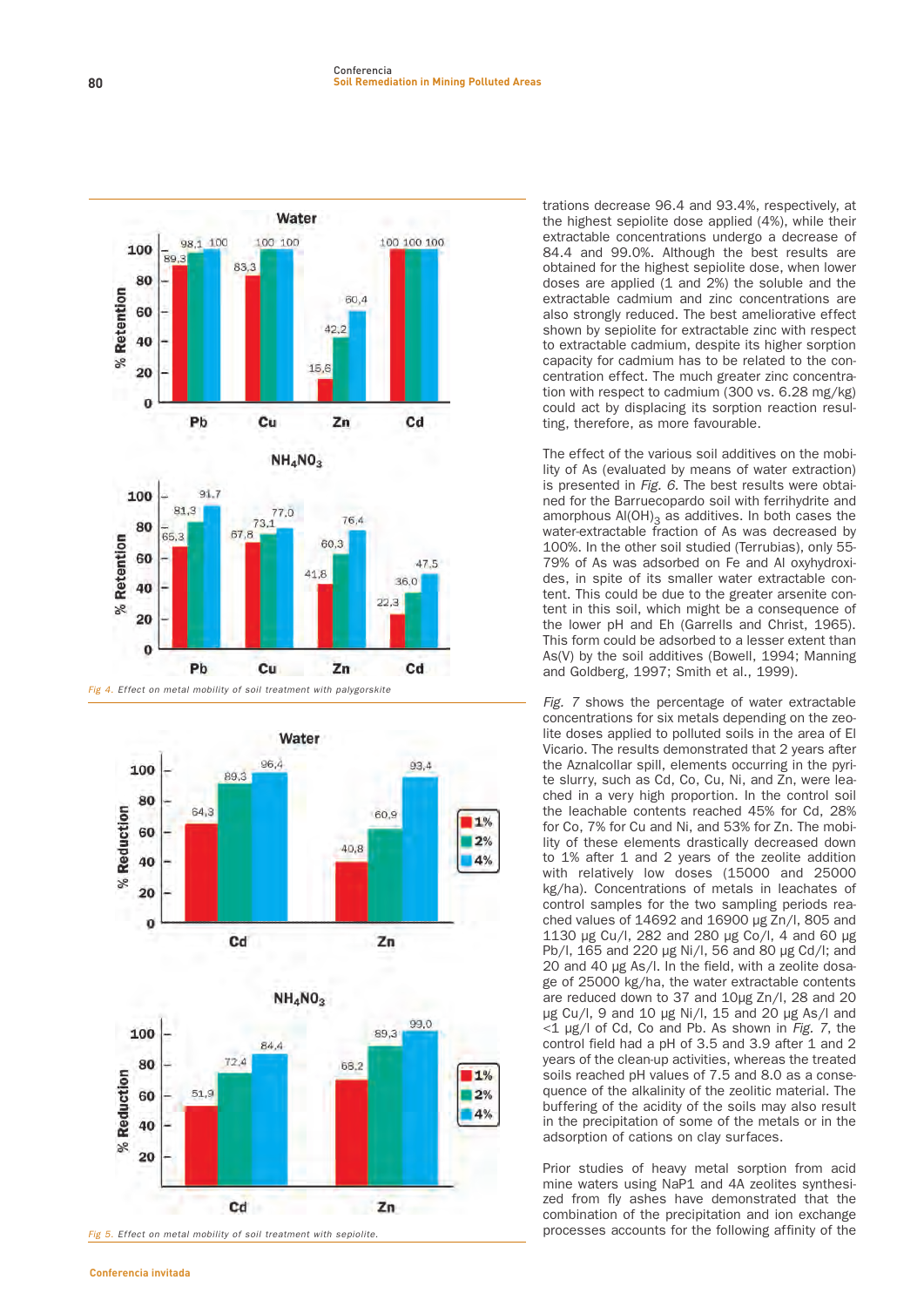

Fig 4. Effect on metal mobility of soil treatment with palygorskite





**trations decrease 96.4 and 93.4%, respectively, at the highest sepiolite dose applied (4%), while their extractable concentrations undergo a decrease of 84.4 and 99.0%. Although the best results are obtained for the highest sepiolite dose, when lower doses are applied (1 and 2%) the soluble and the extractable cadmium and zinc concentrations are also strongly reduced. The best ameliorative effect shown by sepiolite for extractable zinc with respect to extractable cadmium, despite its higher sorption capacity for cadmium has to be related to the concentration effect. The much greater zinc concentration with respect to cadmium (300 vs. 6.28 mg/kg) could act by displacing its sorption reaction resulting, therefore, as more favourable.**

**The effect of the various soil additives on the mobility of As (evaluated by means of water extraction) is presented in** Fig. 6. **The best results were obtained for the Barruecopardo soil with ferrihydrite and** amorphous Al(OH)<sub>3</sub> as additives. In both cases the **water-extractable fraction of As was decreased by 100%. In the other soil studied (Terrubias), only 55- 79% of As was adsorbed on Fe and Al oxyhydroxides, in spite of its smaller water extractable content. This could be due to the greater arsenite content in this soil, which might be a consequence of the lower pH and Eh (Garrells and Christ, 1965). This form could be adsorbed to a lesser extent than As(V) by the soil additives (Bowell, 1994; Manning and Goldberg, 1997; Smith et al., 1999).**

Fig. 7 **shows the percentage of water extractable concentrations for six metals depending on the zeolite doses applied to polluted soils in the area of El Vicario. The results demonstrated that 2 years after the Aznalcollar spill, elements occurring in the pyrite slurry, such as Cd, Co, Cu, Ni, and Zn, were leached in a very high proportion. In the control soil the leachable contents reached 45% for Cd, 28% for Co, 7% for Cu and Ni, and 53% for Zn. The mobility of these elements drastically decreased down to 1% after 1 and 2 years of the zeolite addition with relatively low doses (15000 and 25000 kg/ha). Concentrations of metals in leachates of control samples for the two sampling periods reached values of 14692 and 16900 µg Zn/l, 805 and 1130 µg Cu/l, 282 and 280 µg Co/l, 4 and 60 µg Pb/l, 165 and 220 µg Ni/l, 56 and 80 µg Cd/l; and 20 and 40 µg As/l. In the field, with a zeolite dosage of 25000 kg/ha, the water extractable contents are reduced down to 37 and 10µg Zn/l, 28 and 20 µg Cu/l, 9 and 10 µg Ni/l, 15 and 20 µg As/l and <1 µg/l of Cd, Co and Pb. As shown in** Fig. 7**, the control field had a pH of 3.5 and 3.9 after 1 and 2 years of the clean-up activities, whereas the treated soils reached pH values of 7.5 and 8.0 as a consequence of the alkalinity of the zeolitic material. The buffering of the acidity of the soils may also result in the precipitation of some of the metals or in the adsorption of cations on clay surfaces.**

**Prior studies of heavy metal sorption from acid mine waters using NaP1 and 4A zeolites synthesized from fly ashes have demonstrated that the combination of the precipitation and ion exchange processes accounts for the following affinity of the**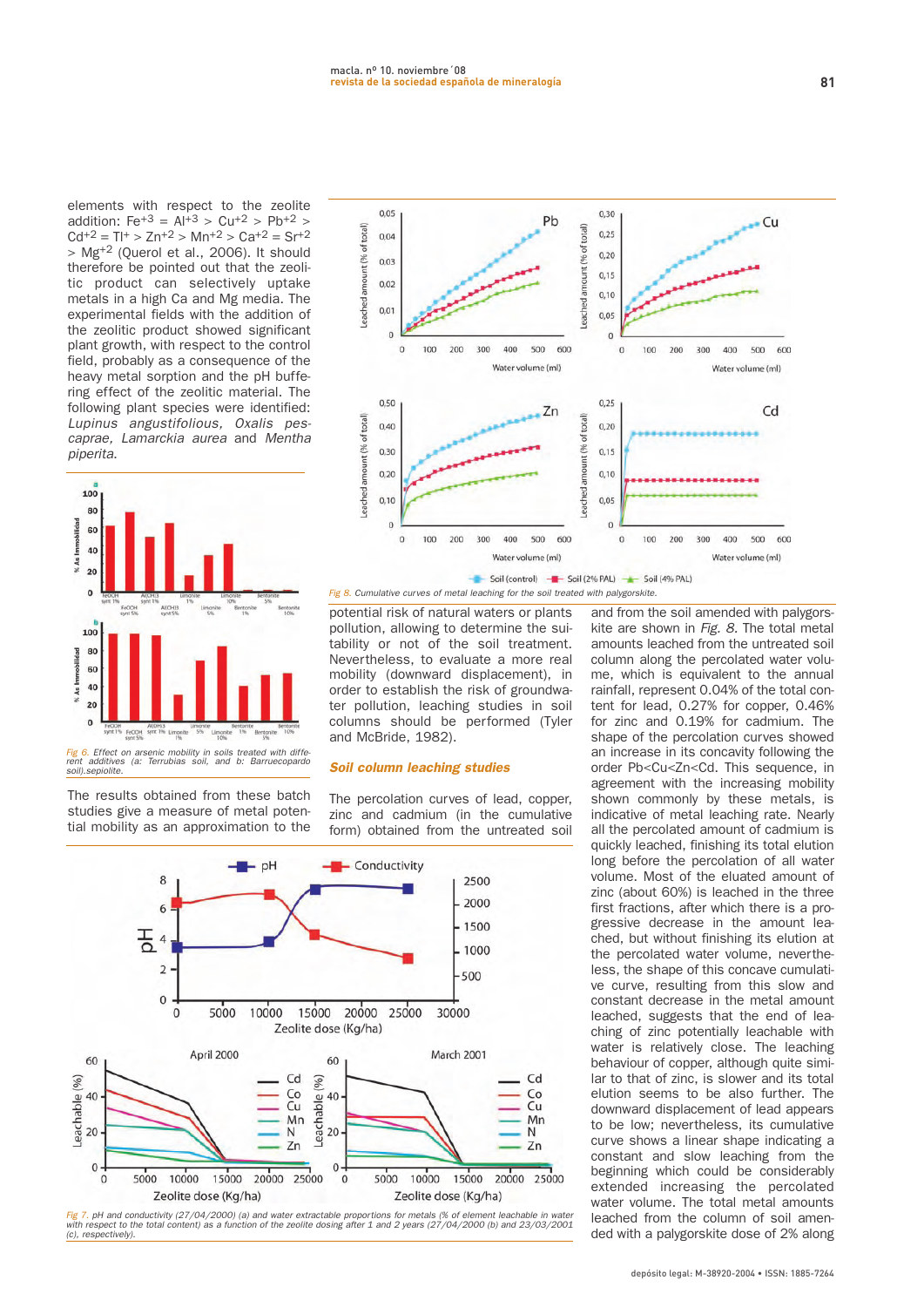**elements with respect to the zeolite addition: Fe+3 = Al+3 > Cu+2 > Pb+2 >**  $Cd^{+2} = T l^{+} > Z n^{+2} > M n^{+2} > Ca^{+2} = S r^{+2}$ **> Mg+2 (Querol et al., 2006). It should therefore be pointed out that the zeolitic product can selectively uptake metals in a high Ca and Mg media. The experimental fields with the addition of the zeolitic product showed significant plant growth, with respect to the control field, probably as a consequence of the heavy metal sorption and the pH buffering effect of the zeolitic material. The following plant species were identified:** Lupinus angustifolious, Oxalis pescaprae, Lamarckia aurea **and** Mentha piperita**.**



**The results obtained from these batch studies give a measure of metal potential mobility as an approximation to the**



**potential risk of natural waters or plants pollution, allowing to determine the suitability or not of the soil treatment. Nevertheless, to evaluate a more real mobility (downward displacement), in order to establish the risk of groundwater pollution, leaching studies in soil columns should be performed (Tyler and McBride, 1982).**

#### **Soil column leaching studies**

**The percolation curves of lead, copper, zinc and cadmium (in the cumulative form) obtained from the untreated soil**



**and from the soil amended with palygorskite are shown in** Fig. 8. **The total metal amounts leached from the untreated soil column along the percolated water volume, which is equivalent to the annual rainfall, represent 0.04% of the total content for lead, 0.27% for copper, 0.46% for zinc and 0.19% for cadmium. The shape of the percolation curves showed an increase in its concavity following the order Pb<Cu<Zn<Cd. This sequence, in agreement with the increasing mobility shown commonly by these metals, is indicative of metal leaching rate. Nearly all the percolated amount of cadmium is quickly leached, finishing its total elution long before the percolation of all water volume. Most of the eluated amount of zinc (about 60%) is leached in the three first fractions, after which there is a progressive decrease in the amount leached, but without finishing its elution at the percolated water volume, nevertheless, the shape of this concave cumulative curve, resulting from this slow and constant decrease in the metal amount leached, suggests that the end of leaching of zinc potentially leachable with water is relatively close. The leaching behaviour of copper, although quite similar to that of zinc, is slower and its total elution seems to be also further. The downward displacement of lead appears to be low; nevertheless, its cumulative curve shows a linear shape indicating a constant and slow leaching from the beginning which could be considerably extended increasing the percolated water volume. The total metal amounts leached from the column of soil amended with a palygorskite dose of 2% along**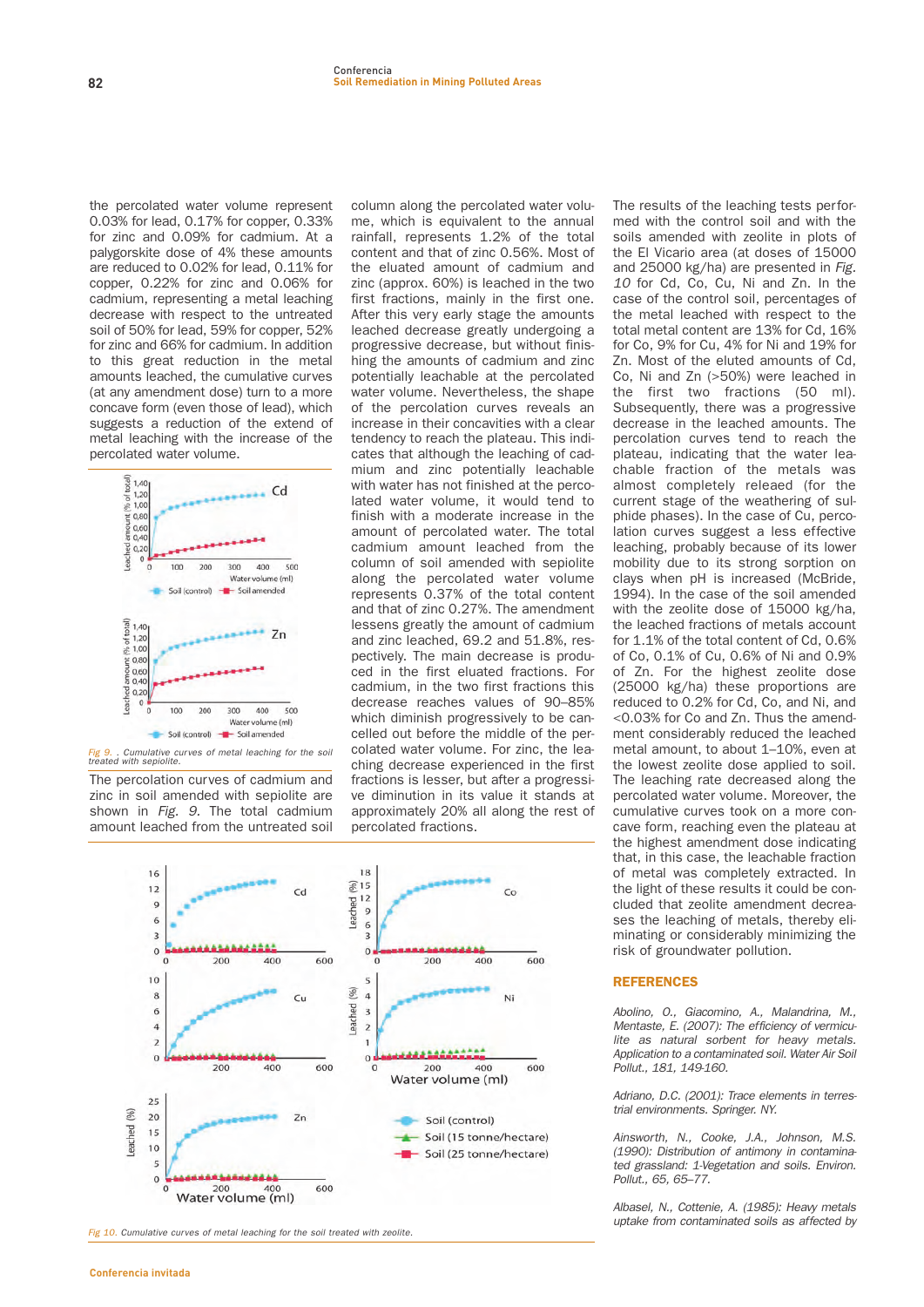**the percolated water volume represent 0.03% for lead, 0.17% for copper, 0.33% for zinc and 0.09% for cadmium. At a palygorskite dose of 4% these amounts are reduced to 0.02% for lead, 0.11% for copper, 0.22% for zinc and 0.06% for cadmium, representing a metal leaching decrease with respect to the untreated soil of 50% for lead, 59% for copper, 52% for zinc and 66% for cadmium. In addition to this great reduction in the metal amounts leached, the cumulative curves (at any amendment dose) turn to a more concave form (even those of lead), which suggests a reduction of the extend of metal leaching with the increase of the percolated water volume.**



Fig 9. . Cumulative curves of metal leaching for the soil<br>treated with sepiolite.

**The percolation curves of cadmium and zinc in soil amended with sepiolite are shown in** Fig. 9. **The total cadmium amount leached from the untreated soil** **column along the percolated water volume, which is equivalent to the annual rainfall, represents 1.2% of the total content and that of zinc 0.56%. Most of the eluated amount of cadmium and zinc (approx. 60%) is leached in the two first fractions, mainly in the first one. After this very early stage the amounts leached decrease greatly undergoing a progressive decrease, but without finishing the amounts of cadmium and zinc potentially leachable at the percolated water volume. Nevertheless, the shape of the percolation curves reveals an increase in their concavities with a clear tendency to reach the plateau. This indicates that although the leaching of cadmium and zinc potentially leachable with water has not finished at the percolated water volume, it would tend to finish with a moderate increase in the amount of percolated water. The total cadmium amount leached from the column of soil amended with sepiolite along the percolated water volume represents 0.37% of the total content and that of zinc 0.27%. The amendment lessens greatly the amount of cadmium and zinc leached, 69.2 and 51.8%, respectively. The main decrease is produced in the first eluated fractions. For cadmium, in the two first fractions this decrease reaches values of 90–85% which diminish progressively to be cancelled out before the middle of the percolated water volume. For zinc, the leaching decrease experienced in the first fractions is lesser, but after a progressive diminution in its value it stands at approximately 20% all along the rest of percolated fractions.**



Fig 10. Cumulative curves of metal leaching for the soil treated with zeolite.

**The results of the leaching tests performed with the control soil and with the soils amended with zeolite in plots of the El Vicario area (at doses of 15000 and 25000 kg/ha) are presented in** Fig. 10 **for Cd, Co, Cu, Ni and Zn. In the case of the control soil, percentages of the metal leached with respect to the total metal content are 13% for Cd, 16% for Co, 9% for Cu, 4% for Ni and 19% for Zn. Most of the eluted amounts of Cd, Co, Ni and Zn (>50%) were leached in the first two fractions (50 ml). Subsequently, there was a progressive decrease in the leached amounts. The percolation curves tend to reach the plateau, indicating that the water leachable fraction of the metals was almost completely releaed (for the current stage of the weathering of sulphide phases). In the case of Cu, percolation curves suggest a less effective leaching, probably because of its lower mobility due to its strong sorption on clays when pH is increased (McBride, 1994). In the case of the soil amended with the zeolite dose of 15000 kg/ha, the leached fractions of metals account for 1.1% of the total content of Cd, 0.6% of Co, 0.1% of Cu, 0.6% of Ni and 0.9% of Zn. For the highest zeolite dose (25000 kg/ha) these proportions are reduced to 0.2% for Cd, Co, and Ni, and <0.03% for Co and Zn. Thus the amendment considerably reduced the leached metal amount, to about 1–10%, even at the lowest zeolite dose applied to soil. The leaching rate decreased along the percolated water volume. Moreover, the cumulative curves took on a more concave form, reaching even the plateau at the highest amendment dose indicating that, in this case, the leachable fraction of metal was completely extracted. In the light of these results it could be concluded that zeolite amendment decreases the leaching of metals, thereby eliminating or considerably minimizing the risk of groundwater pollution.** 

#### **REFERENCES**

Abolino, O., Giacomino, A., Malandrina, M., Mentaste, E. (2007): The efficiency of vermiculite as natural sorbent for heavy metals. Application to a contaminated soil. Water Air Soil Pollut., 181, 149-160.

Adriano, D.C. (2001): Trace elements in terrestrial environments. Springer. NY.

Ainsworth, N., Cooke, J.A., Johnson, M.S. (1990): Distribution of antimony in contaminated grassland: 1-Vegetation and soils. Environ. Pollut., 65, 65–77.

Albasel, N., Cottenie, A. (1985): Heaw metals uptake from contaminated soils as affected by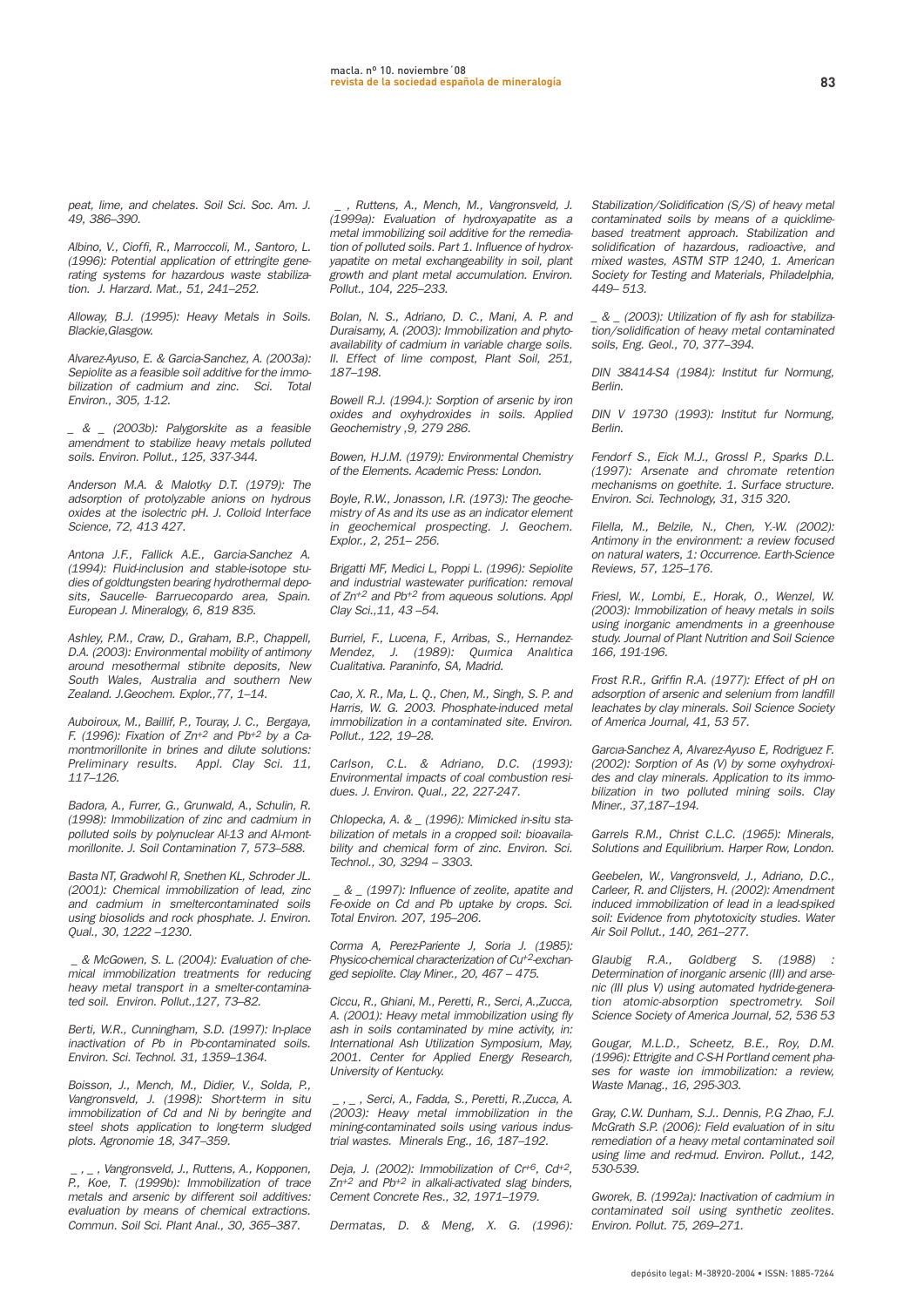peat, lime, and chelates. Soil Sci. Soc. Am. J. 49, 386–390.

Albino, V., Cioffi, R., Marroccoli, M., Santoro, L. (1996): Potential application of ettringite generating systems for hazardous waste stabilization. J. Harzard. Mat., 51, 241–252.

Alloway, B.J. (1995): Heavy Metals in Soils. Blackie,Glasgow.

Alvarez-Ayuso, E. & Garcia-Sanchez, A. (2003a): Sepiolite as a feasible soil additive for the immobilization of cadmium and zinc. Sci. Total Environ., 305, 1-12.

\_ & \_ (2003b): Palygorskite as a feasible amendment to stabilize heaw metals polluted soils. Environ. Pollut., 125, 337-344.

Anderson M.A. & Malotky D.T. (1979): The adsorption of protolyzable anions on hydrous oxides at the isolectric pH. J. Colloid Interface Science, 72, 413 427.

Antona J.F., Fallick A.E., Garcia-Sanchez A. (1994): Fluid-inclusion and stable-isotope studies of goldtungsten bearing hydrothermal deposits, Saucelle- Barruecopardo area, Spain. European J. Mineralogy, 6, 819 835.

Ashley, P.M., Craw, D., Graham, B.P., Chappell, D.A. (2003): Environmental mobility of antimony around mesothermal stibnite deposits, New South Wales, Australia and southern New Zealand. J.Geochem. Explor.,77, 1–14.

Auboiroux, M., Baillif, P., Touray, J. C., Bergaya, F. (1996): Fixation of Zn<sup>+2</sup> and Pb<sup>+2</sup> by a Camontmorillonite in brines and dilute solutions: Preliminary results. Appl. Clay Sci. 11, 117–126.

Badora, A., Furrer, G., Grunwald, A., Schulin, R. (1998): Immobilization of zinc and cadmium in polluted soils by polynuclear Al-13 and Al-montmorillonite. J. Soil Contamination 7, 573–588.

Basta NT, Gradwohl R, Snethen KL, Schroder JL. (2001): Chemical immobilization of lead, zinc and cadmium in smeltercontaminated soils using biosolids and rock phosphate. J. Environ. Qual., 30, 1222 –1230.

\_ & McGowen, S. L. (2004): Evaluation of chemical immobilization treatments for reducing heavy metal transport in a smelter-contaminated soil. Environ. Pollut.,127, 73–82.

Berti, W.R., Cunningham, S.D. (1997): In-place inactivation of Pb in Pb-contaminated soils. Environ. Sci. Technol. 31, 1359–1364.

Boisson, J., Mench, M., Didier, V., Solda, P., Vangronsveld, J. (1998): Short-term in situ immobilization of Cd and Ni by beringite and steel shots application to long-term sludged plots. Agronomie 18, 347–359.

, Vangronsveld, J., Ruttens, A., Kopponen, P., Koe, T. (1999b): Immobilization of trace metals and arsenic by different soil additives: evaluation by means of chemical extractions. Commun. Soil Sci. Plant Anal., 30, 365–387.

\_ , Ruttens, A., Mench, M., Vangronsveld, J. (1999a): Evaluation of hydroxyapatite as a metal immobilizing soil additive for the remediation of polluted soils. Part 1. Influence of hydroxyapatite on metal exchangeability in soil, plant growth and plant metal accumulation. Environ. Pollut., 104, 225–233.

Bolan, N. S., Adriano, D. C., Mani, A. P. and Duraisamy, A. (2003): Immobilization and phytoavailability of cadmium in variable charge soils. II. Effect of lime compost, Plant Soil, 251, 187–198.

Bowell R.J. (1994.): Sorption of arsenic by iron oxides and oxyhydroxides in soils. Applied Geochemistry ,9, 279 286.

Bowen, H.J.M. (1979): Environmental Chemistry of the Elements. Academic Press: London.

Boyle, R.W., Jonasson, I.R. (1973): The geochemistry of As and its use as an indicator element in geochemical prospecting. J. Geochem. Explor., 2, 251– 256.

Brigatti MF, Medici L, Poppi L. (1996): Sepiolite and industrial wastewater purification: removal of Zn+2 and Pb+2 from aqueous solutions. Appl Clay Sci.,11, 43 –54.

Burriel, F., Lucena, F., Arribas, S., Hernandez-Mendez, J. (1989): Quımica Analıtica Cualitativa. Paraninfo, SA, Madrid.

Cao, X. R., Ma, L. Q., Chen, M., Singh, S. P. and Harris, W. G. 2003. Phosphate-induced metal immobilization in a contaminated site. Environ. Pollut., 122, 19–28.

Carlson, C.L. & Adriano, D.C. (1993): Environmental impacts of coal combustion residues. J. Environ. Qual., 22, 227-247.

Chlopecka, A. &  $(1996)$ : Mimicked in-situ stabilization of metals in a cropped soil: bioavailability and chemical form of zinc. Environ. Sci. Technol., 30, 3294 – 3303.

\_ & \_ (1997): Influence of zeolite, apatite and Fe-oxide on Cd and Pb uptake by crops. Sci. Total Environ. 207, 195–206.

Corma A, Perez-Pariente J, Soria J. (1985): Physico-chemical characterization of Cu+2-exchanged sepiolite. Clay Miner., 20, 467 – 475.

Ciccu, R., Ghiani, M., Peretti, R., Serci, A.,Zucca, A. (2001): Heavy metal immobilization using fly ash in soils contaminated by mine activity, in: International Ash Utilization Symposium, May, 2001. Center for Applied Energy Research, University of Kentucky.

\_ , \_ , Serci, A., Fadda, S., Peretti, R.,Zucca, A. (2003): Heavy metal immobilization in the mining-contaminated soils using various industrial wastes. Minerals Eng., 16, 187–192.

Deja, J. (2002): Immobilization of  $Cr^{+6}$ .  $Cd^{+2}$ .  $Zn^{+2}$  and Pb<sup>+2</sup> in alkali-activated slag binders, Cement Concrete Res., 32, 1971–1979.

Dermatas, D. & Meng, X. G. (1996):

Stabilization/Solidification (S/S) of heavy metal contaminated soils by means of a quicklimebased treatment approach. Stabilization and solidification of hazardous, radioactive, and mixed wastes, ASTM STP 1240, 1. American Society for Testing and Materials, Philadelphia, 449– 513.

\_ & \_ (2003): Utilization of fly ash for stabilization/solidification of heavy metal contaminated soils, Eng. Geol., 70, 377–394.

DIN 38414-S4 (1984): Institut fur Normung, Berlin.

DIN V 19730 (1993): Institut fur Normung, Berlin.

Fendorf S., Eick M.J., Grossl P., Sparks D.L. (1997): Arsenate and chromate retention mechanisms on goethite. 1. Surface structure. Environ. Sci. Technology, 31, 315 320.

Filella, M., Belzile, N., Chen, Y.-W. (2002): Antimony in the environment: a review focused on natural waters, 1: Occurrence. Earth-Science Reviews, 57, 125–176.

Friesl, W., Lombi, E., Horak, O., Wenzel, W. (2003): Immobilization of heavy metals in soils using inorganic amendments in a greenhouse study. Journal of Plant Nutrition and Soil Science 166, 191-196.

Frost R.R., Griffin R.A. (1977): Effect of pH on adsorption of arsenic and selenium from landfill leachates by clay minerals. Soil Science Society of America Journal, 41, 53 57.

Garcıa-Sanchez A, Alvarez-Ayuso E, Rodriguez F. (2002): Sorption of As (V) by some oxyhydroxides and clay minerals. Application to its immobilization in two polluted mining soils. Clay Miner., 37,187–194.

Garrels R.M., Christ C.L.C. (1965): Minerals, Solutions and Equilibrium. Harper Row, London.

Geebelen, W., Vangronsveld, J., Adriano, D.C., Carleer, R. and Clijsters, H. (2002): Amendment induced immobilization of lead in a lead-spiked soil: Evidence from phytotoxicity studies. Water Air Soil Pollut., 140, 261–277.

Glaubig R.A., Goldberg S. (1988) Determination of inorganic arsenic (III) and arsenic (III plus V) using automated hydride-generation atomic-absorption spectrometry. Soil Science Society of America Journal, 52, 536 53

Gougar, M.L.D., Scheetz, B.E., Roy, D.M. (1996): Ettrigite and C-S-H Portland cement phases for waste ion immobilization: a review, Waste Manag., 16, 295-303.

Gray, C.W. Dunham, S.J.. Dennis, P.G Zhao, F.J. McGrath S.P. (2006): Field evaluation of in situ remediation of a heavy metal contaminated soil using lime and red-mud. Environ. Pollut., 142, 530-539.

Gworek, B. (1992a): Inactivation of cadmium in contaminated soil using synthetic zeolites. Environ. Pollut. 75, 269–271.